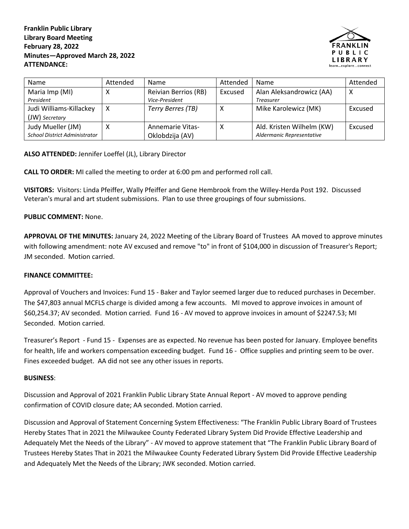**Franklin Public Library Library Board Meeting February 28, 2022 Minutes—Approved March 28, 2022 ATTENDANCE:**



| Name                                 | Attended | <b>Name</b>             | Attended | <b>Name</b>               | Attended |
|--------------------------------------|----------|-------------------------|----------|---------------------------|----------|
| Maria Imp (MI)                       | ◠        | Reivian Berrios (RB)    | Excused  | Alan Aleksandrowicz (AA)  | х        |
| President                            |          | Vice-President          |          | <b>Treasurer</b>          |          |
| Judi Williams-Killackey              | х        | Terry Berres (TB)       |          | Mike Karolewicz (MK)      | Excused  |
| (JW) Secretary                       |          |                         |          |                           |          |
| Judy Mueller (JM)                    |          | <b>Annemarie Vitas-</b> |          | Ald. Kristen Wilhelm (KW) | Excused  |
| <b>School District Administrator</b> |          | Oklobdzija (AV)         |          | Aldermanic Representative |          |

**ALSO ATTENDED:** Jennifer Loeffel (JL), Library Director

**CALL TO ORDER:** MI called the meeting to order at 6:00 pm and performed roll call.

**VISITORS:** Visitors: Linda Pfeiffer, Wally Pfeiffer and Gene Hembrook from the Willey-Herda Post 192. Discussed Veteran's mural and art student submissions. Plan to use three groupings of four submissions.

## **PUBLIC COMMENT:** None.

**APPROVAL OF THE MINUTES:** January 24, 2022 Meeting of the Library Board of Trustees AA moved to approve minutes with following amendment: note AV excused and remove "to" in front of \$104,000 in discussion of Treasurer's Report; JM seconded. Motion carried.

## **FINANCE COMMITTEE:**

Approval of Vouchers and Invoices: Fund 15 - Baker and Taylor seemed larger due to reduced purchases in December. The \$47,803 annual MCFLS charge is divided among a few accounts. MI moved to approve invoices in amount of \$60,254.37; AV seconded. Motion carried.Fund 16 - AV moved to approve invoices in amount of \$2247.53; MI Seconded. Motion carried.

Treasurer's Report - Fund 15 - Expenses are as expected. No revenue has been posted for January. Employee benefits for health, life and workers compensation exceeding budget. Fund 16 - Office supplies and printing seem to be over. Fines exceeded budget. AA did not see any other issues in reports.

## **BUSINESS**:

Discussion and Approval of 2021 Franklin Public Library State Annual Report - AV moved to approve pending confirmation of COVID closure date; AA seconded. Motion carried.

Discussion and Approval of Statement Concerning System Effectiveness: "The Franklin Public Library Board of Trustees Hereby States That in 2021 the Milwaukee County Federated Library System Did Provide Effective Leadership and Adequately Met the Needs of the Library" - AV moved to approve statement that "The Franklin Public Library Board of Trustees Hereby States That in 2021 the Milwaukee County Federated Library System Did Provide Effective Leadership and Adequately Met the Needs of the Library; JWK seconded. Motion carried.